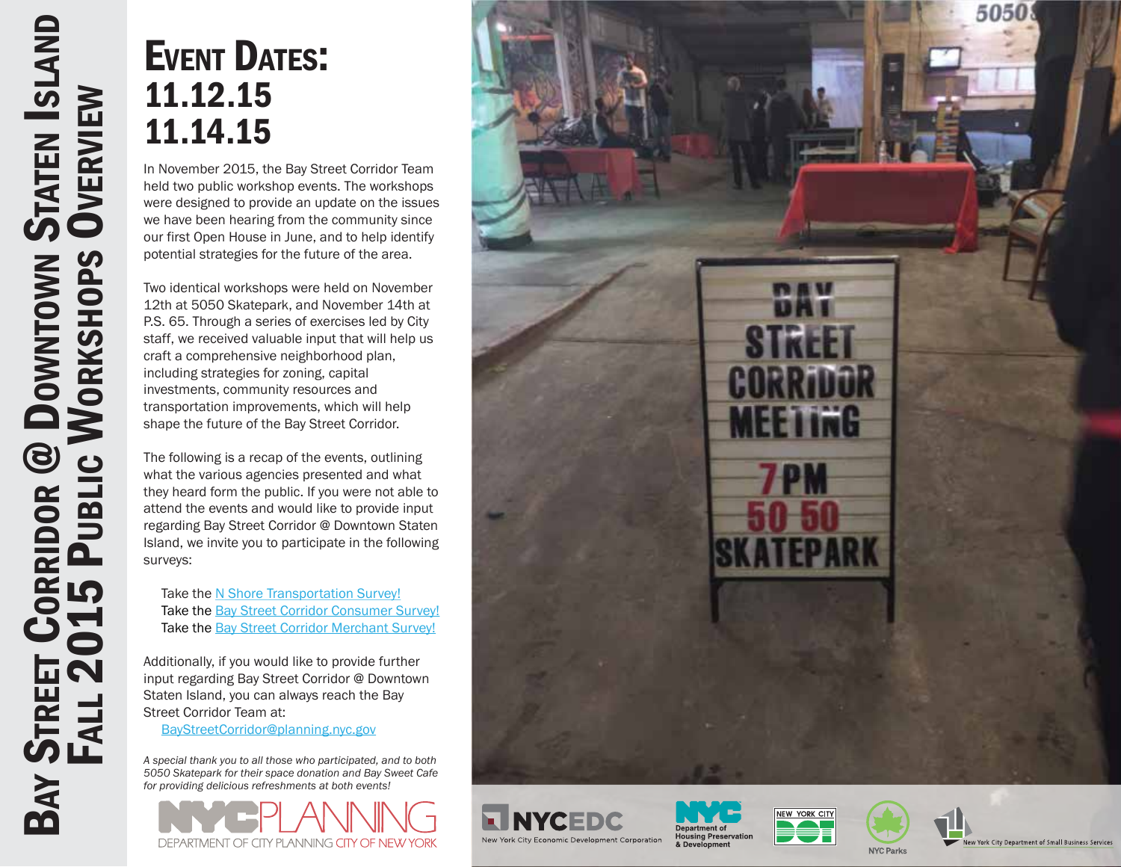### EVENT DATES: 11.12.15 11.14.15

In November 2015, the Bay Street Corridor Team held two public workshop events. The workshops were designed to provide an update on the issues we have been hearing from the community since our first Open House in June, and to help identify potential strategies for the future of the area.

Two identical workshops were held on November 12th at 5050 Skatepark, and November 14th at P.S. 65. Through a series of exercises led by City staff, we received valuable input that will help us craft a comprehensive neighborhood plan, including strategies for zoning, capital investments, community resources and transportation improvements, which will help shape the future of the Bay Street Corridor.

The following is a recap of the events, outlining what the various agencies presented and what they heard form the public. If you were not able to attend the events and would like to provide input regarding Bay Street Corridor @ Downtown Staten Island, we invite you to participate in the following surveys:

Take the [N Shore Transportation Survey!](http://bit.ly/1PWgiWI) Take the [Bay Street Corridor Consumer Survey!](http://goo.gl/forms/5FxOMd1mrV) Take the **Bay Street Corridor Merchant Survey!** 

Additionally, if you would like to provide further input regarding Bay Street Corridor @ Downtown Staten Island, you can always reach the Bay Street Corridor Team at:

[BayStreetCorridor@planning.nyc.gov](mailto:BayStreetCorridor@planning.nyc.gov)

*A special thank you to all those who participated, and to both 5050 Skatepark for their space donation and Bay Sweet Cafe for providing delicious refreshments at both events!*











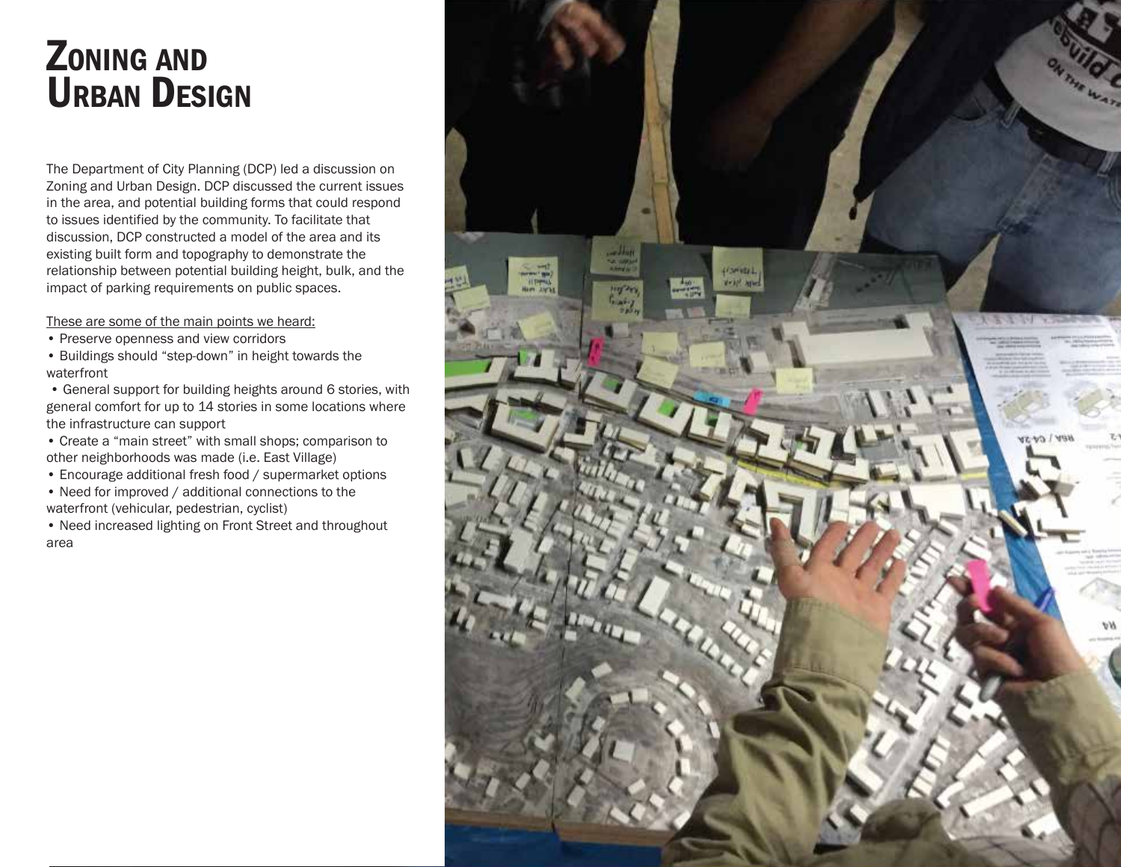## ZONING AND URBAN DESIGN

The Department of City Planning (DCP) led a discussion on Zoning and Urban Design. DCP discussed the current issues in the area, and potential building forms that could respond to issues identified by the community. To facilitate that discussion, DCP constructed a model of the area and its existing built form and topography to demonstrate the relationship between potential building height, bulk, and the impact of parking requirements on public spaces.

These are some of the main points we heard:

- Preserve openness and view corridors
- Buildings should "step-down" in height towards the waterfront

• General support for building heights around 6 stories, with general comfort for up to 14 stories in some locations where the infrastructure can support

• Create a "main street" with small shops; comparison to other neighborhoods was made (i.e. East Village)

• Encourage additional fresh food / supermarket options

• Need for improved / additional connections to the waterfront (vehicular, pedestrian, cyclist)

• Need increased lighting on Front Street and throughout area

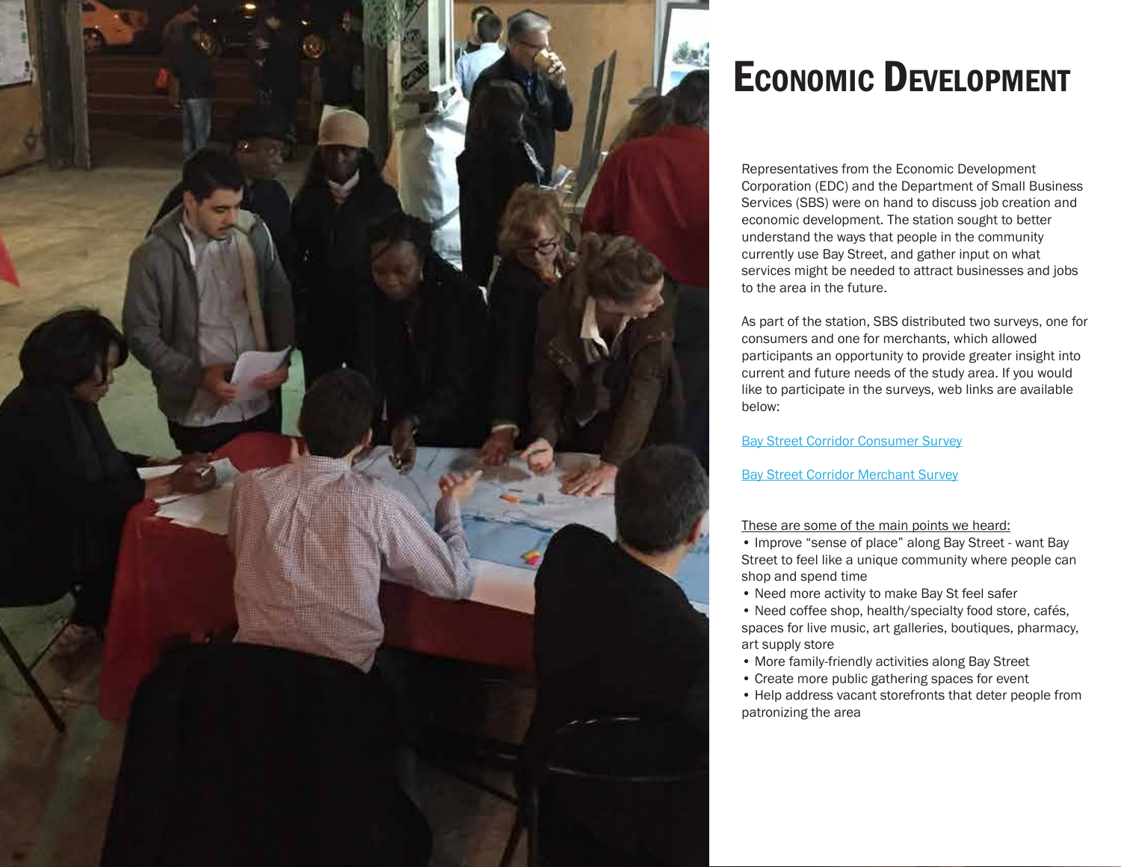

# ECONOMIC DEVELOPMENT

Representatives from the Economic Development Corporation (EDC) and the Department of Small Business Services (SBS) were on hand to discuss job creation and economic development. The station sought to better understand the ways that people in the community currently use Bay Street, and gather input on what services might be needed to attract businesses and jobs to the area in the future.

As part of the station, SBS distributed two surveys, one for consumers and one for merchants, which allowed participants an opportunity to provide greater insight into current and future needs of the study area. If you would like to participate in the surveys, web links are available below:

[Bay Street Corridor Consumer Survey](http://goo.gl/forms/5FxOMd1mrV)

[Bay Street Corridor Merchant Survey](http://goo.gl/forms/VTjop13qe6)

#### These are some of the main points we heard:

• Improve "sense of place" along Bay Street - want Bay Street to feel like a unique community where people can shop and spend time

• Need more activity to make Bay St feel safer

• Need coffee shop, health/specialty food store, cafés, spaces for live music, art galleries, boutiques, pharmacy, art supply store

- More family-friendly activities along Bay Street
- Create more public gathering spaces for event

• Help address vacant storefronts that deter people from patronizing the area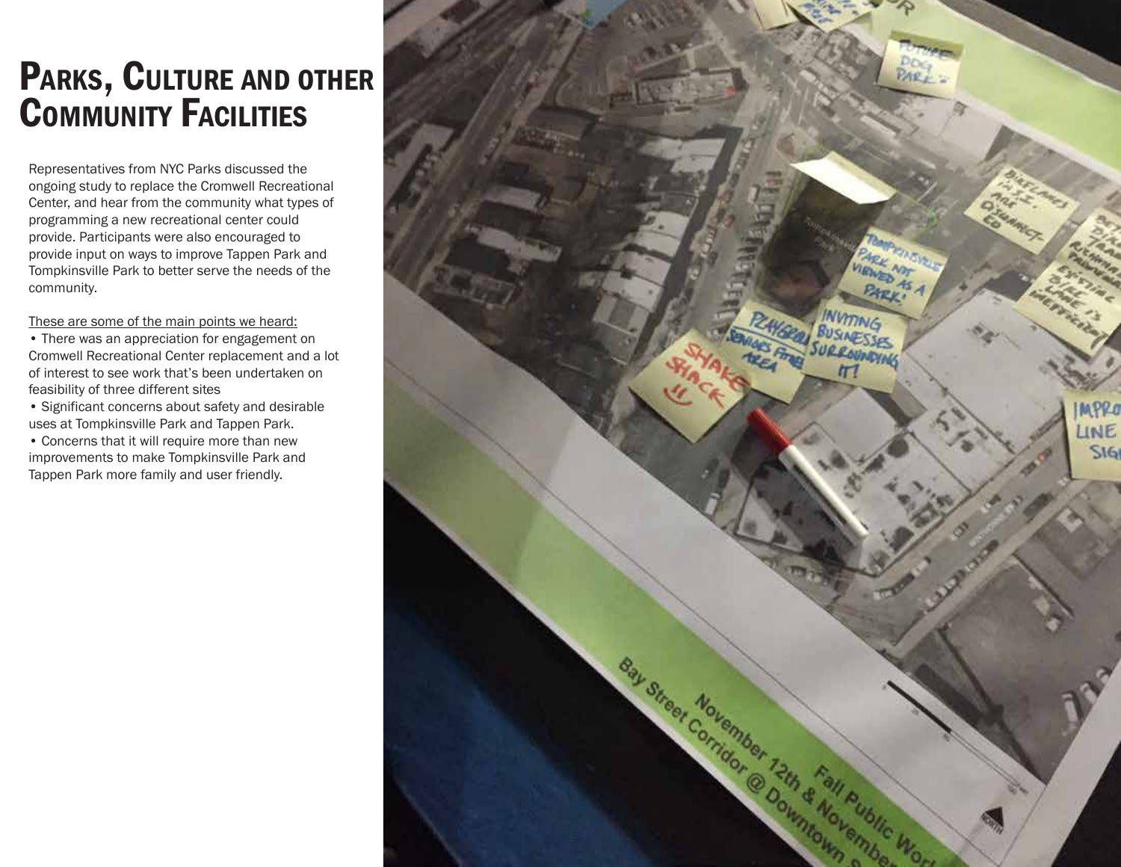## PARKS, CULTURE AND OTHER COMMUNITY FACILITIES

Representatives from NYC Parks discussed the ongoing study to replace the Cromwell Recreational Center, and hear from the community what types of programming a new recreational center could provide. Participants were also encouraged to provide input on ways to improve Tappen Park and Tompkinsville Park to better serve the needs of the community.

These are some of the main points we heard:

- There was an appreciation for engagement on Cromwell Recreational Center replacement and a lot of interest to see work that's been undertaken on feasibility of three different sites
- Significant concerns about safety and desirable uses at Tompkinsville Park and Tappen Park.
- Concerns that it will require more than new improvements to make Tompkinsville Park and Tappen Park more family and user friendly.

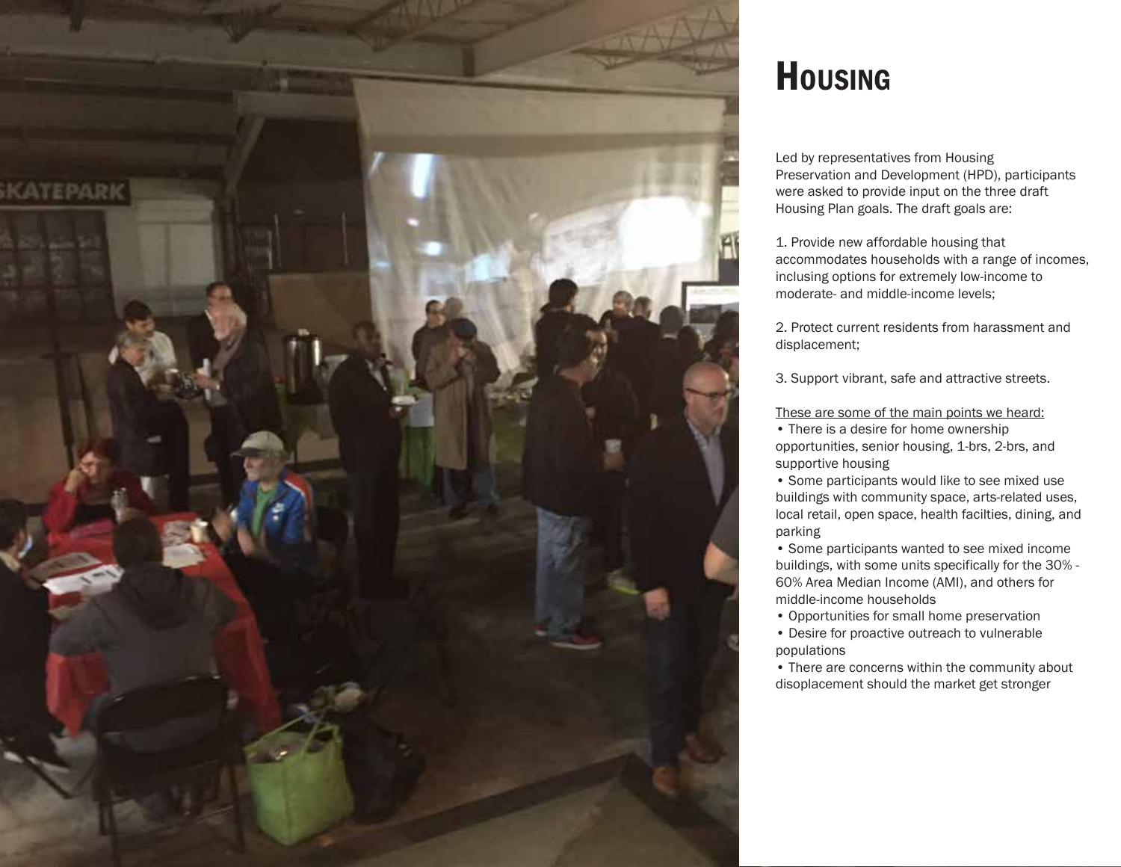

### **HOUSING**

Led by representatives from Housing Preservation and Development (HPD), participants were asked to provide input on the three draft Housing Plan goals. The draft goals are:

1. Provide new affordable housing that accommodates households with a range of incomes, inclusing options for extremely low-income to moderate- and middle-income levels;

2. Protect current residents from harassment and displacement;

3. Support vibrant, safe and attractive streets.

These are some of the main points we heard:

• There is a desire for home ownership opportunities, senior housing, 1-brs, 2-brs, and supportive housing

• Some participants would like to see mixed use buildings with community space, arts-related uses, local retail, open space, health facilties, dining, and parking

• Some participants wanted to see mixed income buildings, with some units specifically for the 30% - 60% Area Median Income (AMI), and others for middle-income households

• Opportunities for small home preservation

• Desire for proactive outreach to vulnerable populations

• There are concerns within the community about disoplacement should the market get stronger